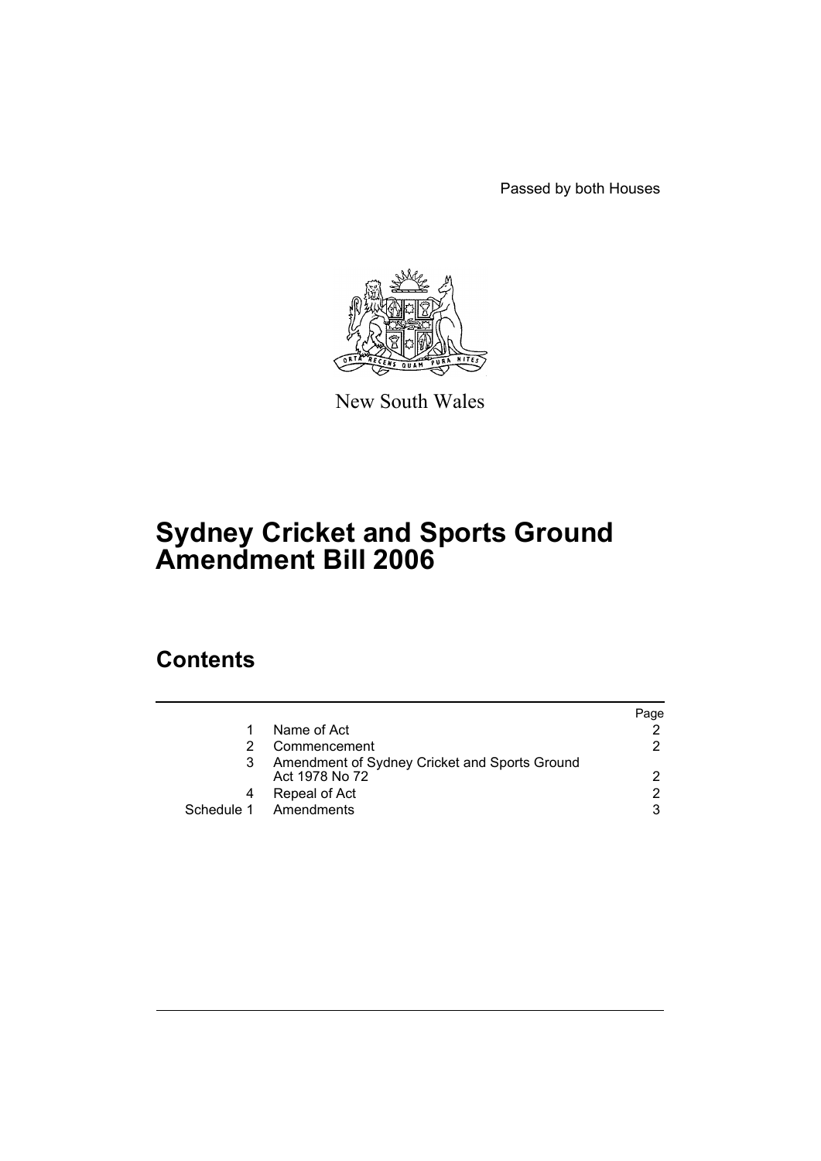Passed by both Houses



New South Wales

# **Sydney Cricket and Sports Ground Amendment Bill 2006**

# **Contents**

|                                               | Paqe |
|-----------------------------------------------|------|
| Name of Act                                   |      |
| Commencement                                  | 2    |
| Amendment of Sydney Cricket and Sports Ground |      |
| Act 1978 No 72                                | 2    |
| Repeal of Act                                 | 2    |
| Amendments                                    | 3    |
|                                               |      |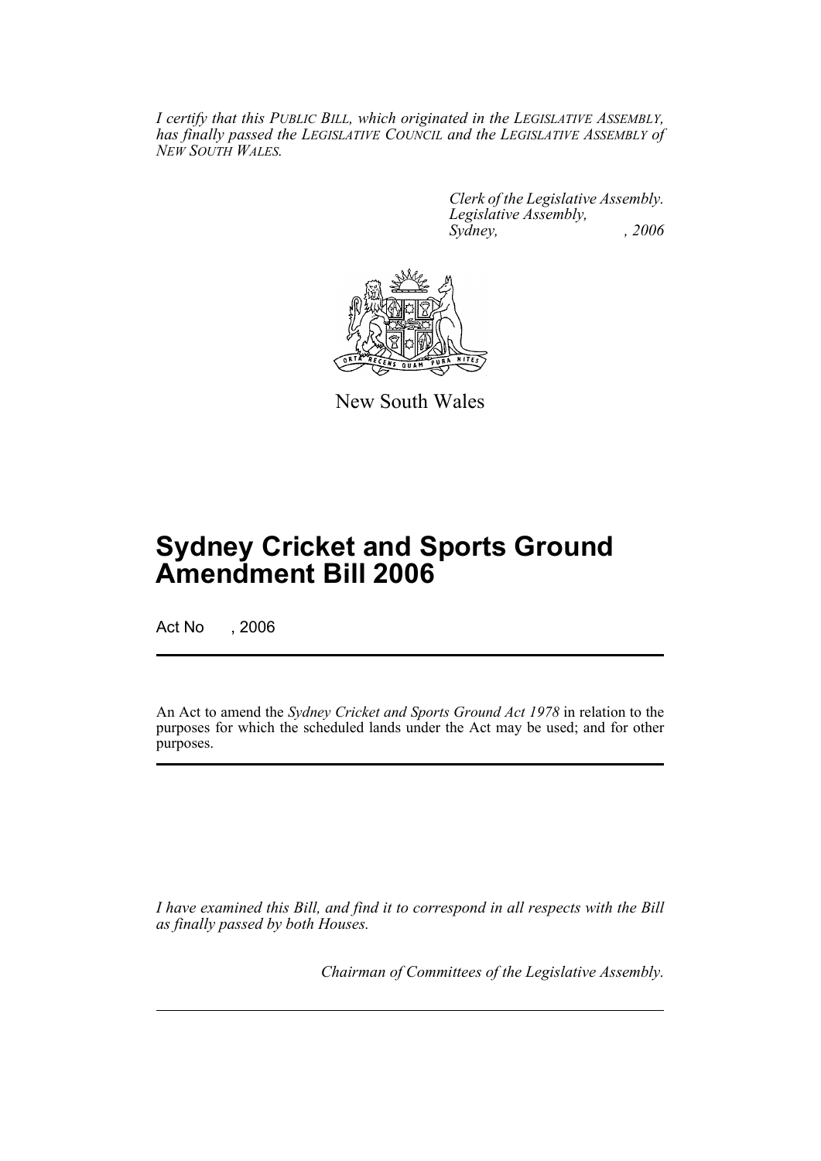*I certify that this PUBLIC BILL, which originated in the LEGISLATIVE ASSEMBLY, has finally passed the LEGISLATIVE COUNCIL and the LEGISLATIVE ASSEMBLY of NEW SOUTH WALES.*

> *Clerk of the Legislative Assembly. Legislative Assembly, Sydney, , 2006*



New South Wales

# **Sydney Cricket and Sports Ground Amendment Bill 2006**

Act No , 2006

An Act to amend the *Sydney Cricket and Sports Ground Act 1978* in relation to the purposes for which the scheduled lands under the Act may be used; and for other purposes.

*I have examined this Bill, and find it to correspond in all respects with the Bill as finally passed by both Houses.*

*Chairman of Committees of the Legislative Assembly.*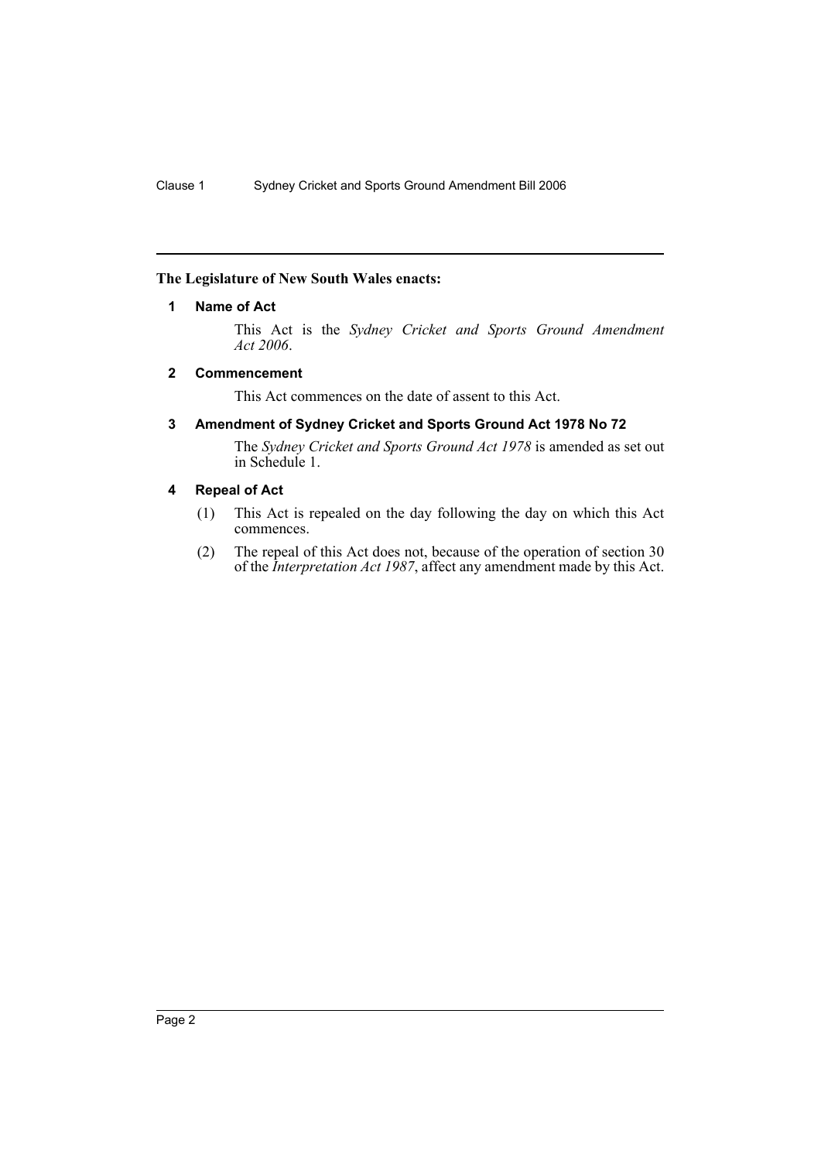## **The Legislature of New South Wales enacts:**

## **1 Name of Act**

This Act is the *Sydney Cricket and Sports Ground Amendment Act 2006*.

## **2 Commencement**

This Act commences on the date of assent to this Act.

## **3 Amendment of Sydney Cricket and Sports Ground Act 1978 No 72**

The *Sydney Cricket and Sports Ground Act 1978* is amended as set out in Schedule 1.

# **4 Repeal of Act**

- (1) This Act is repealed on the day following the day on which this Act commences.
- (2) The repeal of this Act does not, because of the operation of section 30 of the *Interpretation Act 1987*, affect any amendment made by this Act.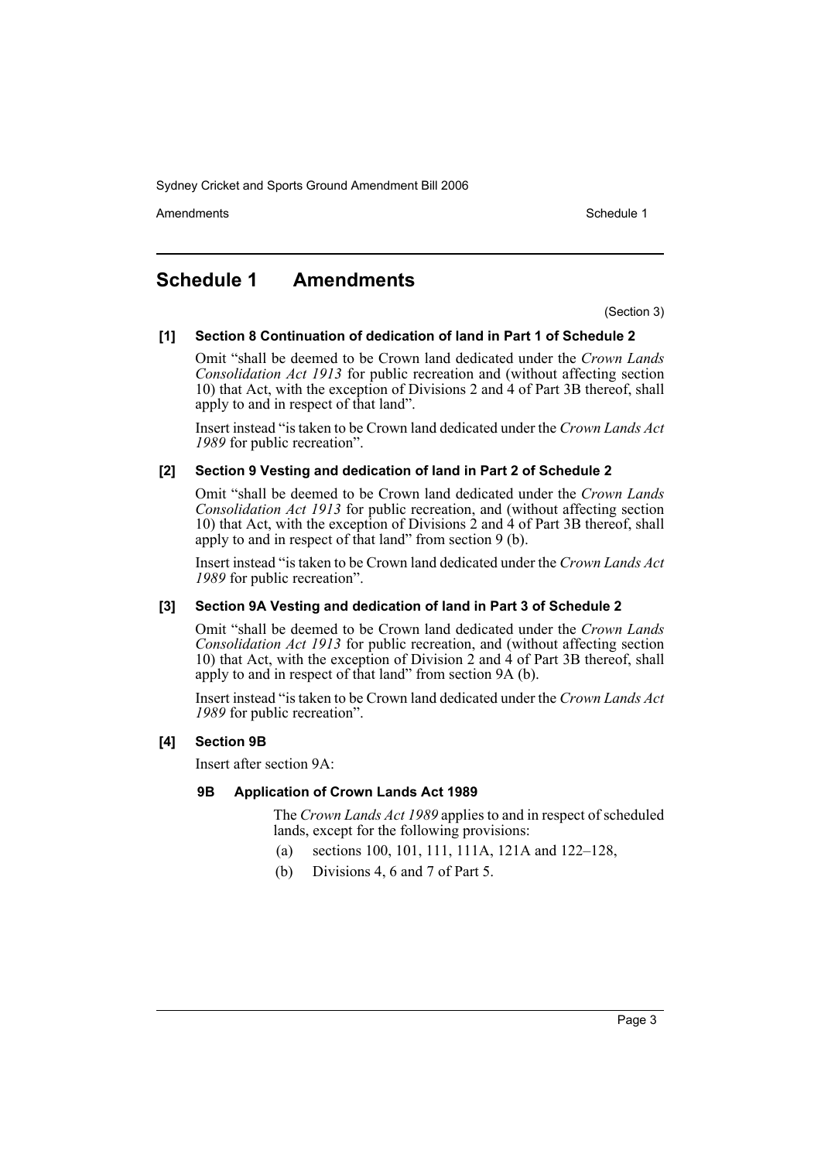Amendments **Amendments** Schedule 1

# **Schedule 1 Amendments**

(Section 3)

#### **[1] Section 8 Continuation of dedication of land in Part 1 of Schedule 2**

Omit "shall be deemed to be Crown land dedicated under the *Crown Lands Consolidation Act 1913* for public recreation and (without affecting section 10) that Act, with the exception of Divisions 2 and  $\hat{A}$  of Part 3B thereof, shall apply to and in respect of that land".

Insert instead "is taken to be Crown land dedicated under the *Crown Lands Act 1989* for public recreation".

#### **[2] Section 9 Vesting and dedication of land in Part 2 of Schedule 2**

Omit "shall be deemed to be Crown land dedicated under the *Crown Lands Consolidation Act 1913* for public recreation, and (without affecting section 10) that Act, with the exception of Divisions  $\hat{2}$  and  $\hat{4}$  of Part 3B thereof, shall apply to and in respect of that land" from section 9 (b).

Insert instead "is taken to be Crown land dedicated under the *Crown Lands Act 1989* for public recreation".

#### **[3] Section 9A Vesting and dedication of land in Part 3 of Schedule 2**

Omit "shall be deemed to be Crown land dedicated under the *Crown Lands Consolidation Act 1913* for public recreation, and (without affecting section 10) that Act, with the exception of Division 2 and 4 of Part 3B thereof, shall apply to and in respect of that land" from section 9A (b).

Insert instead "is taken to be Crown land dedicated under the *Crown Lands Act 1989* for public recreation".

#### **[4] Section 9B**

Insert after section 9A:

#### **9B Application of Crown Lands Act 1989**

The *Crown Lands Act 1989* applies to and in respect of scheduled lands, except for the following provisions:

- (a) sections 100, 101, 111, 111A, 121A and 122–128,
- (b) Divisions 4, 6 and 7 of Part 5.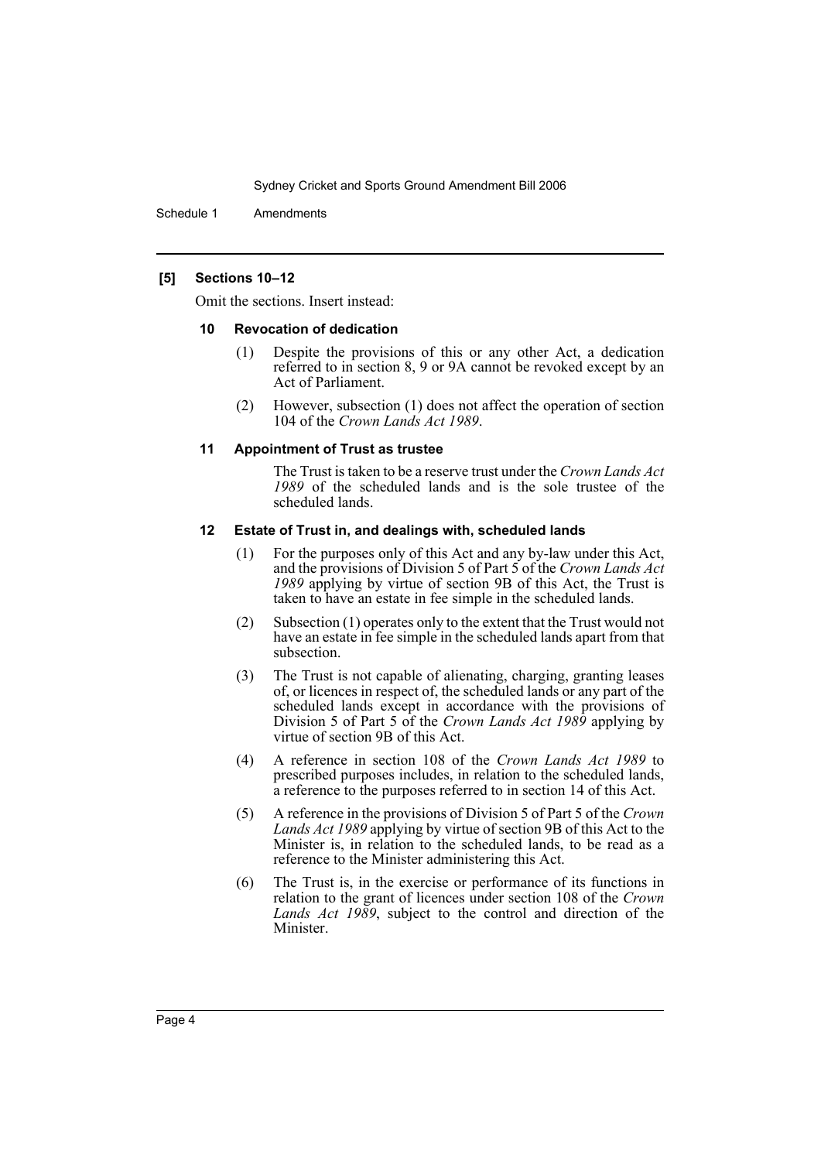Schedule 1 Amendments

### **[5] Sections 10–12**

Omit the sections. Insert instead:

#### **10 Revocation of dedication**

- (1) Despite the provisions of this or any other Act, a dedication referred to in section 8, 9 or 9A cannot be revoked except by an Act of Parliament.
- (2) However, subsection (1) does not affect the operation of section 104 of the *Crown Lands Act 1989*.

#### **11 Appointment of Trust as trustee**

The Trust is taken to be a reserve trust under the *Crown Lands Act 1989* of the scheduled lands and is the sole trustee of the scheduled lands.

#### **12 Estate of Trust in, and dealings with, scheduled lands**

- (1) For the purposes only of this Act and any by-law under this Act, and the provisions of Division 5 of Part 5 of the *Crown Lands Act 1989* applying by virtue of section 9B of this Act, the Trust is taken to have an estate in fee simple in the scheduled lands.
- (2) Subsection (1) operates only to the extent that the Trust would not have an estate in fee simple in the scheduled lands apart from that subsection.
- (3) The Trust is not capable of alienating, charging, granting leases of, or licences in respect of, the scheduled lands or any part of the scheduled lands except in accordance with the provisions of Division 5 of Part 5 of the *Crown Lands Act 1989* applying by virtue of section 9B of this Act.
- (4) A reference in section 108 of the *Crown Lands Act 1989* to prescribed purposes includes, in relation to the scheduled lands, a reference to the purposes referred to in section 14 of this Act.
- (5) A reference in the provisions of Division 5 of Part 5 of the *Crown Lands Act 1989* applying by virtue of section 9B of this Act to the Minister is, in relation to the scheduled lands, to be read as a reference to the Minister administering this Act.
- (6) The Trust is, in the exercise or performance of its functions in relation to the grant of licences under section 108 of the *Crown Lands Act 1989*, subject to the control and direction of the Minister.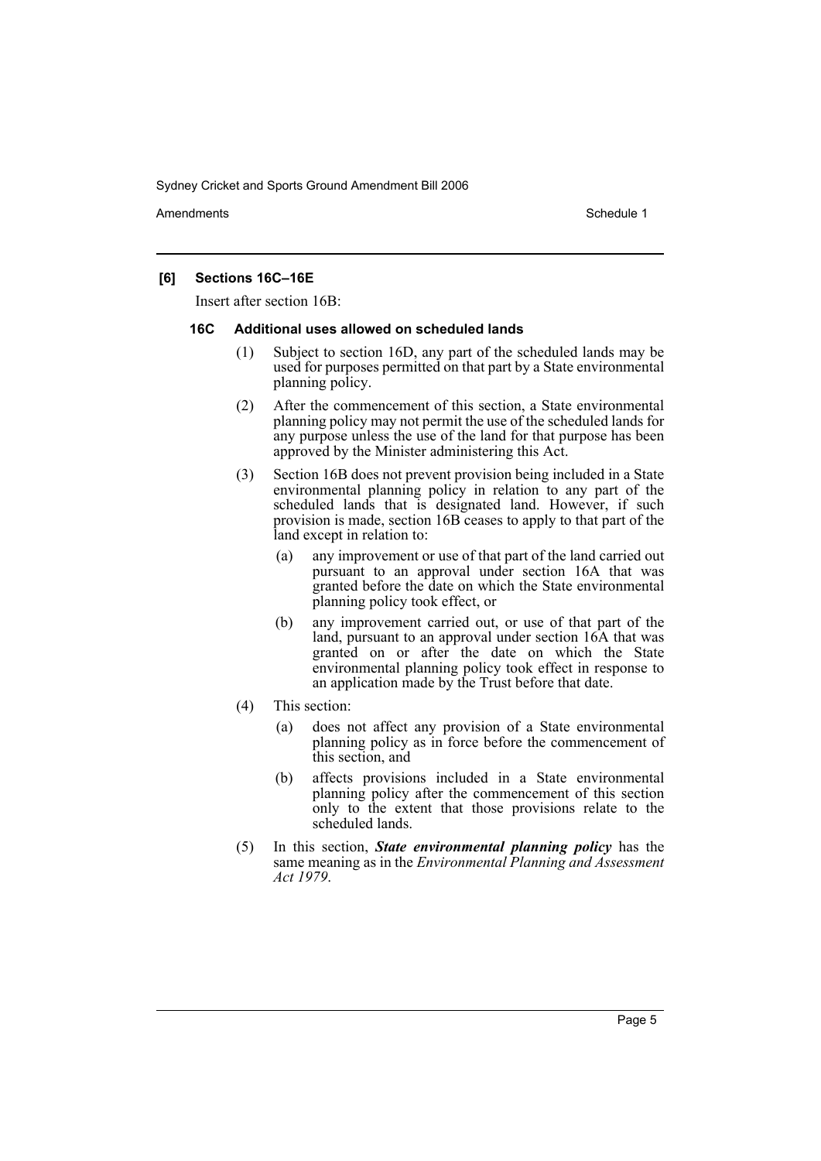Amendments **Amendments** Schedule 1

## **[6] Sections 16C–16E**

Insert after section 16B:

#### **16C Additional uses allowed on scheduled lands**

- (1) Subject to section 16D, any part of the scheduled lands may be used for purposes permitted on that part by a State environmental planning policy.
- (2) After the commencement of this section, a State environmental planning policy may not permit the use of the scheduled lands for any purpose unless the use of the land for that purpose has been approved by the Minister administering this Act.
- (3) Section 16B does not prevent provision being included in a State environmental planning policy in relation to any part of the scheduled lands that is designated land. However, if such provision is made, section 16B ceases to apply to that part of the land except in relation to:
	- (a) any improvement or use of that part of the land carried out pursuant to an approval under section 16A that was granted before the date on which the State environmental planning policy took effect, or
	- (b) any improvement carried out, or use of that part of the land, pursuant to an approval under section 16A that was granted on or after the date on which the State environmental planning policy took effect in response to an application made by the Trust before that date.
- (4) This section:
	- (a) does not affect any provision of a State environmental planning policy as in force before the commencement of this section, and
	- (b) affects provisions included in a State environmental planning policy after the commencement of this section only to the extent that those provisions relate to the scheduled lands.
- (5) In this section, *State environmental planning policy* has the same meaning as in the *Environmental Planning and Assessment Act 1979*.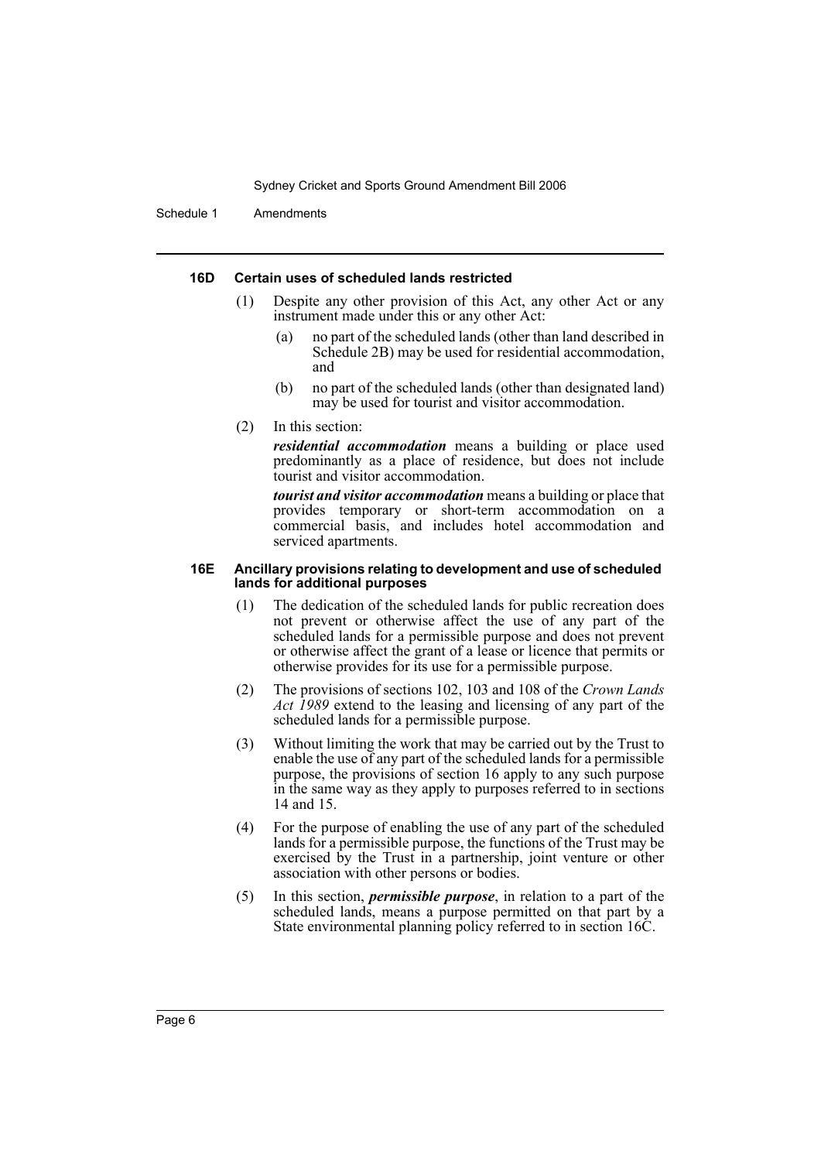Schedule 1 Amendments

#### **16D Certain uses of scheduled lands restricted**

- (1) Despite any other provision of this Act, any other Act or any instrument made under this or any other Act:
	- (a) no part of the scheduled lands (other than land described in Schedule 2B) may be used for residential accommodation, and
	- (b) no part of the scheduled lands (other than designated land) may be used for tourist and visitor accommodation.
- (2) In this section:

*residential accommodation* means a building or place used predominantly as a place of residence, but does not include tourist and visitor accommodation.

*tourist and visitor accommodation* means a building or place that provides temporary or short-term accommodation on a commercial basis, and includes hotel accommodation and serviced apartments.

#### **16E Ancillary provisions relating to development and use of scheduled lands for additional purposes**

- (1) The dedication of the scheduled lands for public recreation does not prevent or otherwise affect the use of any part of the scheduled lands for a permissible purpose and does not prevent or otherwise affect the grant of a lease or licence that permits or otherwise provides for its use for a permissible purpose.
- (2) The provisions of sections 102, 103 and 108 of the *Crown Lands Act 1989* extend to the leasing and licensing of any part of the scheduled lands for a permissible purpose.
- (3) Without limiting the work that may be carried out by the Trust to enable the use of any part of the scheduled lands for a permissible purpose, the provisions of section 16 apply to any such purpose in the same way as they apply to purposes referred to in sections 14 and 15.
- (4) For the purpose of enabling the use of any part of the scheduled lands for a permissible purpose, the functions of the Trust may be exercised by the Trust in a partnership, joint venture or other association with other persons or bodies.
- (5) In this section, *permissible purpose*, in relation to a part of the scheduled lands, means a purpose permitted on that part by a State environmental planning policy referred to in section 16C.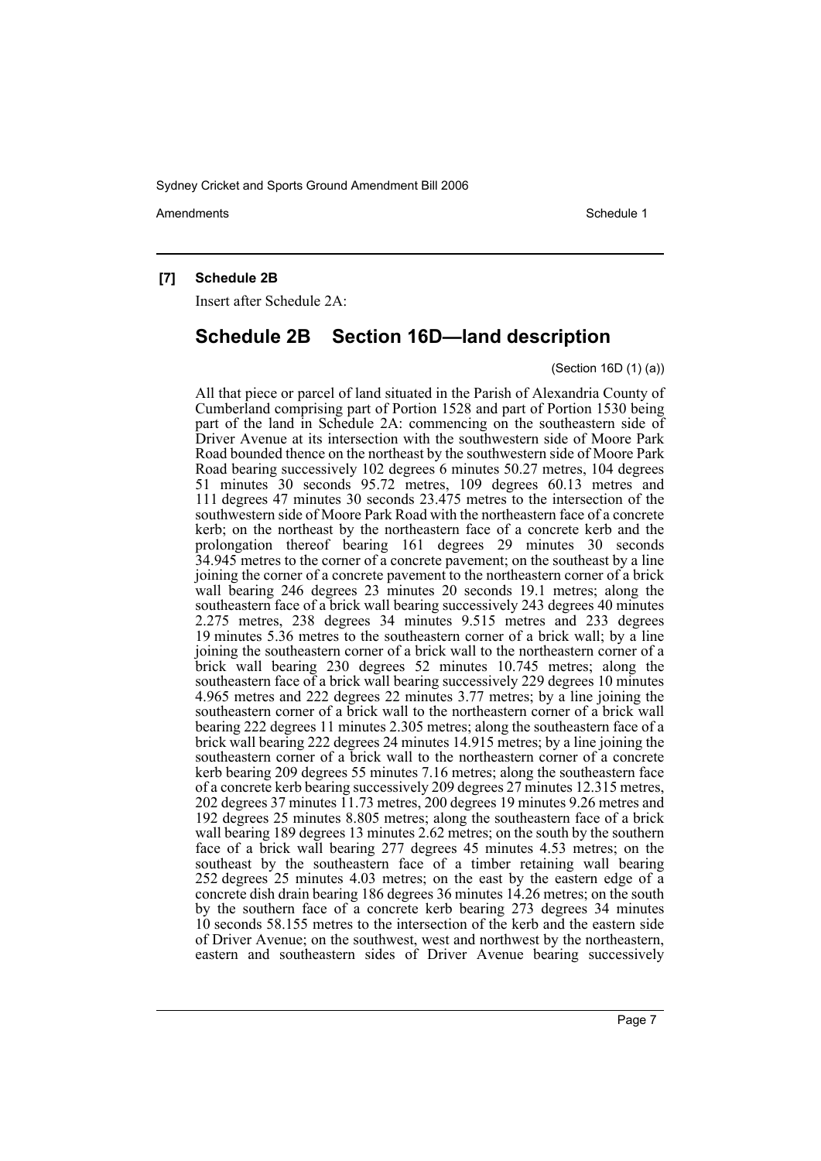Amendments **Amendments** Schedule 1

## **[7] Schedule 2B**

Insert after Schedule 2A:

# **Schedule 2B Section 16D—land description**

#### (Section 16D (1) (a))

All that piece or parcel of land situated in the Parish of Alexandria County of Cumberland comprising part of Portion 1528 and part of Portion 1530 being part of the land in Schedule 2A: commencing on the southeastern side of Driver Avenue at its intersection with the southwestern side of Moore Park Road bounded thence on the northeast by the southwestern side of Moore Park Road bearing successively 102 degrees 6 minutes 50.27 metres, 104 degrees 51 minutes 30 seconds 95.72 metres, 109 degrees 60.13 metres and 111 degrees 47 minutes 30 seconds 23.475 metres to the intersection of the southwestern side of Moore Park Road with the northeastern face of a concrete kerb; on the northeast by the northeastern face of a concrete kerb and the prolongation thereof bearing 161 degrees 29 minutes 30 seconds 34.945 metres to the corner of a concrete pavement; on the southeast by a line joining the corner of a concrete pavement to the northeastern corner of a brick wall bearing 246 degrees 23 minutes 20 seconds 19.1 metres; along the southeastern face of a brick wall bearing successively 243 degrees 40 minutes 2.275 metres, 238 degrees 34 minutes 9.515 metres and 233 degrees 19 minutes 5.36 metres to the southeastern corner of a brick wall; by a line joining the southeastern corner of a brick wall to the northeastern corner of a brick wall bearing 230 degrees 52 minutes 10.745 metres; along the southeastern face of a brick wall bearing successively 229 degrees 10 minutes 4.965 metres and 222 degrees 22 minutes 3.77 metres; by a line joining the southeastern corner of a brick wall to the northeastern corner of a brick wall bearing 222 degrees 11 minutes 2.305 metres; along the southeastern face of a brick wall bearing 222 degrees 24 minutes 14.915 metres; by a line joining the southeastern corner of a brick wall to the northeastern corner of a concrete kerb bearing 209 degrees 55 minutes 7.16 metres; along the southeastern face of a concrete kerb bearing successively 209 degrees 27 minutes 12.315 metres, 202 degrees 37 minutes 11.73 metres, 200 degrees 19 minutes 9.26 metres and 192 degrees 25 minutes 8.805 metres; along the southeastern face of a brick wall bearing 189 degrees 13 minutes 2.62 metres; on the south by the southern face of a brick wall bearing 277 degrees 45 minutes 4.53 metres; on the southeast by the southeastern face of a timber retaining wall bearing 252 degrees 25 minutes 4.03 metres; on the east by the eastern edge of a concrete dish drain bearing 186 degrees 36 minutes 14.26 metres; on the south by the southern face of a concrete kerb bearing 273 degrees 34 minutes 10 seconds 58.155 metres to the intersection of the kerb and the eastern side of Driver Avenue; on the southwest, west and northwest by the northeastern, eastern and southeastern sides of Driver Avenue bearing successively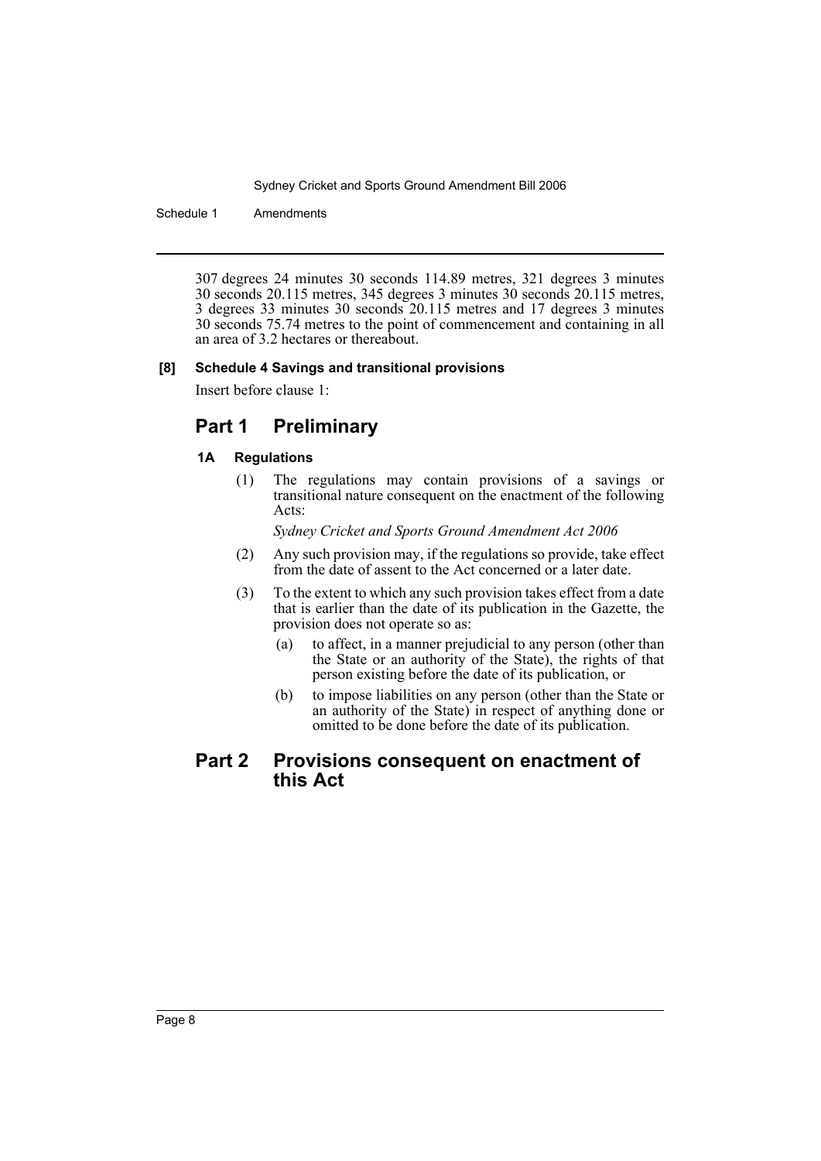Schedule 1 Amendments

307 degrees 24 minutes 30 seconds 114.89 metres, 321 degrees 3 minutes 30 seconds 20.115 metres, 345 degrees 3 minutes 30 seconds 20.115 metres, 3 degrees 33 minutes 30 seconds 20.115 metres and 17 degrees 3 minutes 30 seconds 75.74 metres to the point of commencement and containing in all an area of 3.2 hectares or thereabout.

#### **[8] Schedule 4 Savings and transitional provisions**

Insert before clause 1:

# **Part 1 Preliminary**

# **1A Regulations**

(1) The regulations may contain provisions of a savings or transitional nature consequent on the enactment of the following Acts:

*Sydney Cricket and Sports Ground Amendment Act 2006*

- (2) Any such provision may, if the regulations so provide, take effect from the date of assent to the Act concerned or a later date.
- (3) To the extent to which any such provision takes effect from a date that is earlier than the date of its publication in the Gazette, the provision does not operate so as:
	- (a) to affect, in a manner prejudicial to any person (other than the State or an authority of the State), the rights of that person existing before the date of its publication, or
	- (b) to impose liabilities on any person (other than the State or an authority of the State) in respect of anything done or omitted to be done before the date of its publication.

# **Part 2 Provisions consequent on enactment of this Act**